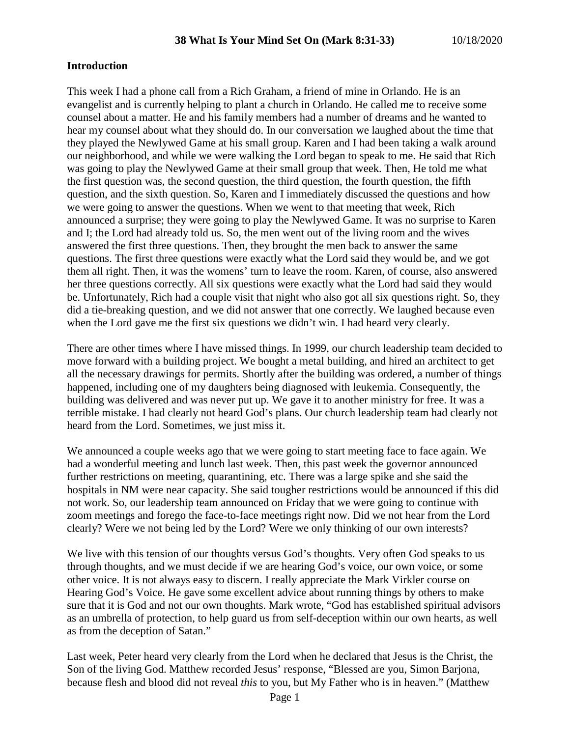#### **Introduction**

This week I had a phone call from a Rich Graham, a friend of mine in Orlando. He is an evangelist and is currently helping to plant a church in Orlando. He called me to receive some counsel about a matter. He and his family members had a number of dreams and he wanted to hear my counsel about what they should do. In our conversation we laughed about the time that they played the Newlywed Game at his small group. Karen and I had been taking a walk around our neighborhood, and while we were walking the Lord began to speak to me. He said that Rich was going to play the Newlywed Game at their small group that week. Then, He told me what the first question was, the second question, the third question, the fourth question, the fifth question, and the sixth question. So, Karen and I immediately discussed the questions and how we were going to answer the questions. When we went to that meeting that week, Rich announced a surprise; they were going to play the Newlywed Game. It was no surprise to Karen and I; the Lord had already told us. So, the men went out of the living room and the wives answered the first three questions. Then, they brought the men back to answer the same questions. The first three questions were exactly what the Lord said they would be, and we got them all right. Then, it was the womens' turn to leave the room. Karen, of course, also answered her three questions correctly. All six questions were exactly what the Lord had said they would be. Unfortunately, Rich had a couple visit that night who also got all six questions right. So, they did a tie-breaking question, and we did not answer that one correctly. We laughed because even when the Lord gave me the first six questions we didn't win. I had heard very clearly.

There are other times where I have missed things. In 1999, our church leadership team decided to move forward with a building project. We bought a metal building, and hired an architect to get all the necessary drawings for permits. Shortly after the building was ordered, a number of things happened, including one of my daughters being diagnosed with leukemia. Consequently, the building was delivered and was never put up. We gave it to another ministry for free. It was a terrible mistake. I had clearly not heard God's plans. Our church leadership team had clearly not heard from the Lord. Sometimes, we just miss it.

We announced a couple weeks ago that we were going to start meeting face to face again. We had a wonderful meeting and lunch last week. Then, this past week the governor announced further restrictions on meeting, quarantining, etc. There was a large spike and she said the hospitals in NM were near capacity. She said tougher restrictions would be announced if this did not work. So, our leadership team announced on Friday that we were going to continue with zoom meetings and forego the face-to-face meetings right now. Did we not hear from the Lord clearly? Were we not being led by the Lord? Were we only thinking of our own interests?

We live with this tension of our thoughts versus God's thoughts. Very often God speaks to us through thoughts, and we must decide if we are hearing God's voice, our own voice, or some other voice. It is not always easy to discern. I really appreciate the Mark Virkler course on Hearing God's Voice. He gave some excellent advice about running things by others to make sure that it is God and not our own thoughts. Mark wrote, "God has established spiritual advisors as an umbrella of protection, to help guard us from self-deception within our own hearts, as well as from the deception of Satan."

Last week, Peter heard very clearly from the Lord when he declared that Jesus is the Christ, the Son of the living God. Matthew recorded Jesus' response, "Blessed are you, Simon Barjona, because flesh and blood did not reveal *this* to you, but My Father who is in heaven." (Matthew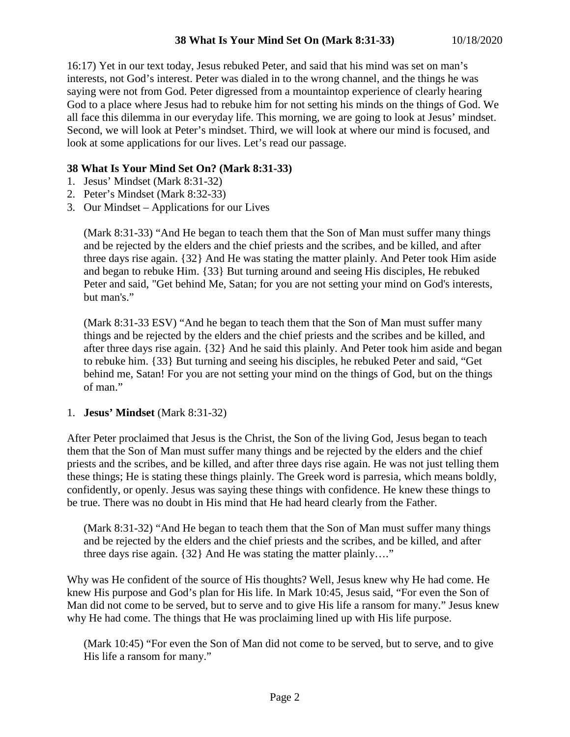16:17) Yet in our text today, Jesus rebuked Peter, and said that his mind was set on man's interests, not God's interest. Peter was dialed in to the wrong channel, and the things he was saying were not from God. Peter digressed from a mountaintop experience of clearly hearing God to a place where Jesus had to rebuke him for not setting his minds on the things of God. We all face this dilemma in our everyday life. This morning, we are going to look at Jesus' mindset. Second, we will look at Peter's mindset. Third, we will look at where our mind is focused, and look at some applications for our lives. Let's read our passage.

### **38 What Is Your Mind Set On? (Mark 8:31-33)**

- 1. Jesus' Mindset (Mark 8:31-32)
- 2. Peter's Mindset (Mark 8:32-33)
- 3. Our Mindset Applications for our Lives

(Mark 8:31-33) "And He began to teach them that the Son of Man must suffer many things and be rejected by the elders and the chief priests and the scribes, and be killed, and after three days rise again. {32} And He was stating the matter plainly. And Peter took Him aside and began to rebuke Him. {33} But turning around and seeing His disciples, He rebuked Peter and said, "Get behind Me, Satan; for you are not setting your mind on God's interests, but man's."

(Mark 8:31-33 ESV) "And he began to teach them that the Son of Man must suffer many things and be rejected by the elders and the chief priests and the scribes and be killed, and after three days rise again. {32} And he said this plainly. And Peter took him aside and began to rebuke him. {33} But turning and seeing his disciples, he rebuked Peter and said, "Get behind me, Satan! For you are not setting your mind on the things of God, but on the things of man."

#### 1. **Jesus' Mindset** (Mark 8:31-32)

After Peter proclaimed that Jesus is the Christ, the Son of the living God, Jesus began to teach them that the Son of Man must suffer many things and be rejected by the elders and the chief priests and the scribes, and be killed, and after three days rise again. He was not just telling them these things; He is stating these things plainly. The Greek word is parresia, which means boldly, confidently, or openly. Jesus was saying these things with confidence. He knew these things to be true. There was no doubt in His mind that He had heard clearly from the Father.

(Mark 8:31-32) "And He began to teach them that the Son of Man must suffer many things and be rejected by the elders and the chief priests and the scribes, and be killed, and after three days rise again. {32} And He was stating the matter plainly…."

Why was He confident of the source of His thoughts? Well, Jesus knew why He had come. He knew His purpose and God's plan for His life. In Mark 10:45, Jesus said, "For even the Son of Man did not come to be served, but to serve and to give His life a ransom for many." Jesus knew why He had come. The things that He was proclaiming lined up with His life purpose.

(Mark 10:45) "For even the Son of Man did not come to be served, but to serve, and to give His life a ransom for many."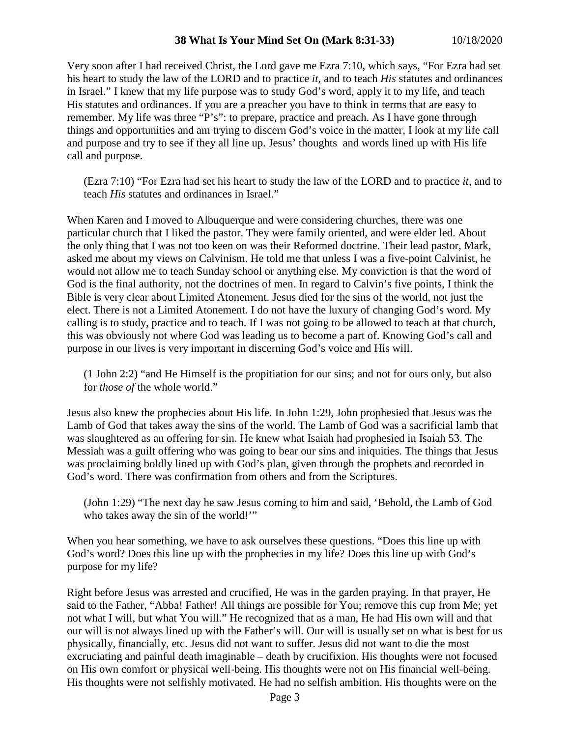## **38 What Is Your Mind Set On (Mark 8:31-33)** 10/18/2020

Very soon after I had received Christ, the Lord gave me Ezra 7:10, which says, "For Ezra had set his heart to study the law of the LORD and to practice *it,* and to teach *His* statutes and ordinances in Israel." I knew that my life purpose was to study God's word, apply it to my life, and teach His statutes and ordinances. If you are a preacher you have to think in terms that are easy to remember. My life was three "P's": to prepare, practice and preach. As I have gone through things and opportunities and am trying to discern God's voice in the matter, I look at my life call and purpose and try to see if they all line up. Jesus' thoughts and words lined up with His life call and purpose.

(Ezra 7:10) "For Ezra had set his heart to study the law of the LORD and to practice *it,* and to teach *His* statutes and ordinances in Israel."

When Karen and I moved to Albuquerque and were considering churches, there was one particular church that I liked the pastor. They were family oriented, and were elder led. About the only thing that I was not too keen on was their Reformed doctrine. Their lead pastor, Mark, asked me about my views on Calvinism. He told me that unless I was a five-point Calvinist, he would not allow me to teach Sunday school or anything else. My conviction is that the word of God is the final authority, not the doctrines of men. In regard to Calvin's five points, I think the Bible is very clear about Limited Atonement. Jesus died for the sins of the world, not just the elect. There is not a Limited Atonement. I do not have the luxury of changing God's word. My calling is to study, practice and to teach. If I was not going to be allowed to teach at that church, this was obviously not where God was leading us to become a part of. Knowing God's call and purpose in our lives is very important in discerning God's voice and His will.

(1 John 2:2) "and He Himself is the propitiation for our sins; and not for ours only, but also for *those of* the whole world."

Jesus also knew the prophecies about His life. In John 1:29, John prophesied that Jesus was the Lamb of God that takes away the sins of the world. The Lamb of God was a sacrificial lamb that was slaughtered as an offering for sin. He knew what Isaiah had prophesied in Isaiah 53. The Messiah was a guilt offering who was going to bear our sins and iniquities. The things that Jesus was proclaiming boldly lined up with God's plan, given through the prophets and recorded in God's word. There was confirmation from others and from the Scriptures.

(John 1:29) "The next day he saw Jesus coming to him and said, 'Behold, the Lamb of God who takes away the sin of the world!"

When you hear something, we have to ask ourselves these questions. "Does this line up with God's word? Does this line up with the prophecies in my life? Does this line up with God's purpose for my life?

Right before Jesus was arrested and crucified, He was in the garden praying. In that prayer, He said to the Father, "Abba! Father! All things are possible for You; remove this cup from Me; yet not what I will, but what You will." He recognized that as a man, He had His own will and that our will is not always lined up with the Father's will. Our will is usually set on what is best for us physically, financially, etc. Jesus did not want to suffer. Jesus did not want to die the most excruciating and painful death imaginable – death by crucifixion. His thoughts were not focused on His own comfort or physical well-being. His thoughts were not on His financial well-being. His thoughts were not selfishly motivated. He had no selfish ambition. His thoughts were on the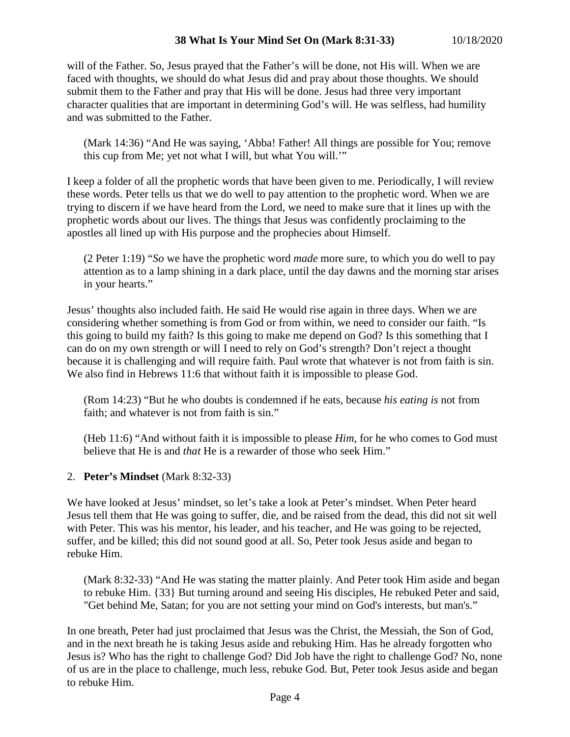will of the Father. So, Jesus prayed that the Father's will be done, not His will. When we are faced with thoughts, we should do what Jesus did and pray about those thoughts. We should submit them to the Father and pray that His will be done. Jesus had three very important character qualities that are important in determining God's will. He was selfless, had humility and was submitted to the Father.

(Mark 14:36) "And He was saying, 'Abba! Father! All things are possible for You; remove this cup from Me; yet not what I will, but what You will.'"

I keep a folder of all the prophetic words that have been given to me. Periodically, I will review these words. Peter tells us that we do well to pay attention to the prophetic word. When we are trying to discern if we have heard from the Lord, we need to make sure that it lines up with the prophetic words about our lives. The things that Jesus was confidently proclaiming to the apostles all lined up with His purpose and the prophecies about Himself.

(2 Peter 1:19) "*So* we have the prophetic word *made* more sure, to which you do well to pay attention as to a lamp shining in a dark place, until the day dawns and the morning star arises in your hearts."

Jesus' thoughts also included faith. He said He would rise again in three days. When we are considering whether something is from God or from within, we need to consider our faith. "Is this going to build my faith? Is this going to make me depend on God? Is this something that I can do on my own strength or will I need to rely on God's strength? Don't reject a thought because it is challenging and will require faith. Paul wrote that whatever is not from faith is sin. We also find in Hebrews 11:6 that without faith it is impossible to please God.

(Rom 14:23) "But he who doubts is condemned if he eats, because *his eating is* not from faith; and whatever is not from faith is sin."

(Heb 11:6) "And without faith it is impossible to please *Him,* for he who comes to God must believe that He is and *that* He is a rewarder of those who seek Him."

# 2. **Peter's Mindset** (Mark 8:32-33)

We have looked at Jesus' mindset, so let's take a look at Peter's mindset. When Peter heard Jesus tell them that He was going to suffer, die, and be raised from the dead, this did not sit well with Peter. This was his mentor, his leader, and his teacher, and He was going to be rejected. suffer, and be killed; this did not sound good at all. So, Peter took Jesus aside and began to rebuke Him.

(Mark 8:32-33) "And He was stating the matter plainly. And Peter took Him aside and began to rebuke Him. {33} But turning around and seeing His disciples, He rebuked Peter and said, "Get behind Me, Satan; for you are not setting your mind on God's interests, but man's."

In one breath, Peter had just proclaimed that Jesus was the Christ, the Messiah, the Son of God, and in the next breath he is taking Jesus aside and rebuking Him. Has he already forgotten who Jesus is? Who has the right to challenge God? Did Job have the right to challenge God? No, none of us are in the place to challenge, much less, rebuke God. But, Peter took Jesus aside and began to rebuke Him.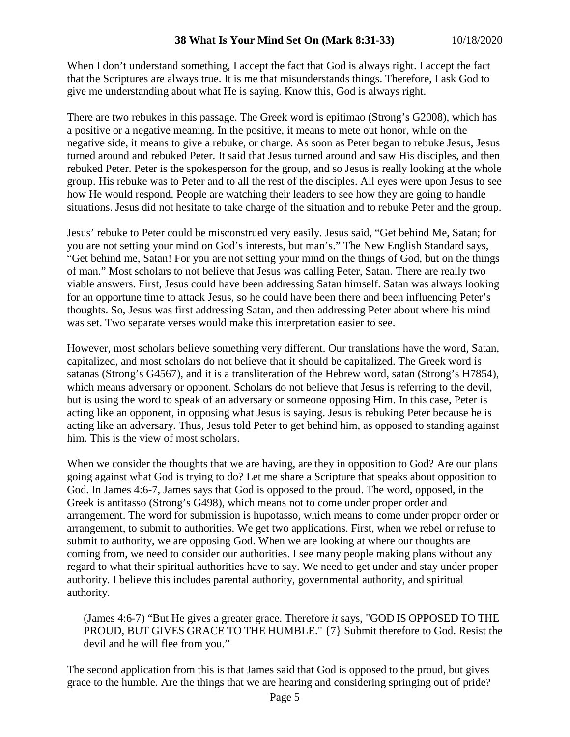When I don't understand something, I accept the fact that God is always right. I accept the fact that the Scriptures are always true. It is me that misunderstands things. Therefore, I ask God to give me understanding about what He is saying. Know this, God is always right.

There are two rebukes in this passage. The Greek word is epitimao (Strong's G2008), which has a positive or a negative meaning. In the positive, it means to mete out honor, while on the negative side, it means to give a rebuke, or charge. As soon as Peter began to rebuke Jesus, Jesus turned around and rebuked Peter. It said that Jesus turned around and saw His disciples, and then rebuked Peter. Peter is the spokesperson for the group, and so Jesus is really looking at the whole group. His rebuke was to Peter and to all the rest of the disciples. All eyes were upon Jesus to see how He would respond. People are watching their leaders to see how they are going to handle situations. Jesus did not hesitate to take charge of the situation and to rebuke Peter and the group.

Jesus' rebuke to Peter could be misconstrued very easily. Jesus said, "Get behind Me, Satan; for you are not setting your mind on God's interests, but man's." The New English Standard says, "Get behind me, Satan! For you are not setting your mind on the things of God, but on the things of man." Most scholars to not believe that Jesus was calling Peter, Satan. There are really two viable answers. First, Jesus could have been addressing Satan himself. Satan was always looking for an opportune time to attack Jesus, so he could have been there and been influencing Peter's thoughts. So, Jesus was first addressing Satan, and then addressing Peter about where his mind was set. Two separate verses would make this interpretation easier to see.

However, most scholars believe something very different. Our translations have the word, Satan, capitalized, and most scholars do not believe that it should be capitalized. The Greek word is satanas (Strong's G4567), and it is a transliteration of the Hebrew word, satan (Strong's H7854), which means adversary or opponent. Scholars do not believe that Jesus is referring to the devil, but is using the word to speak of an adversary or someone opposing Him. In this case, Peter is acting like an opponent, in opposing what Jesus is saying. Jesus is rebuking Peter because he is acting like an adversary. Thus, Jesus told Peter to get behind him, as opposed to standing against him. This is the view of most scholars.

When we consider the thoughts that we are having, are they in opposition to God? Are our plans going against what God is trying to do? Let me share a Scripture that speaks about opposition to God. In James 4:6-7, James says that God is opposed to the proud. The word, opposed, in the Greek is antitasso (Strong's G498), which means not to come under proper order and arrangement. The word for submission is hupotasso, which means to come under proper order or arrangement, to submit to authorities. We get two applications. First, when we rebel or refuse to submit to authority, we are opposing God. When we are looking at where our thoughts are coming from, we need to consider our authorities. I see many people making plans without any regard to what their spiritual authorities have to say. We need to get under and stay under proper authority. I believe this includes parental authority, governmental authority, and spiritual authority.

(James 4:6-7) "But He gives a greater grace. Therefore *it* says, "GOD IS OPPOSED TO THE PROUD, BUT GIVES GRACE TO THE HUMBLE." {7} Submit therefore to God. Resist the devil and he will flee from you."

The second application from this is that James said that God is opposed to the proud, but gives grace to the humble. Are the things that we are hearing and considering springing out of pride?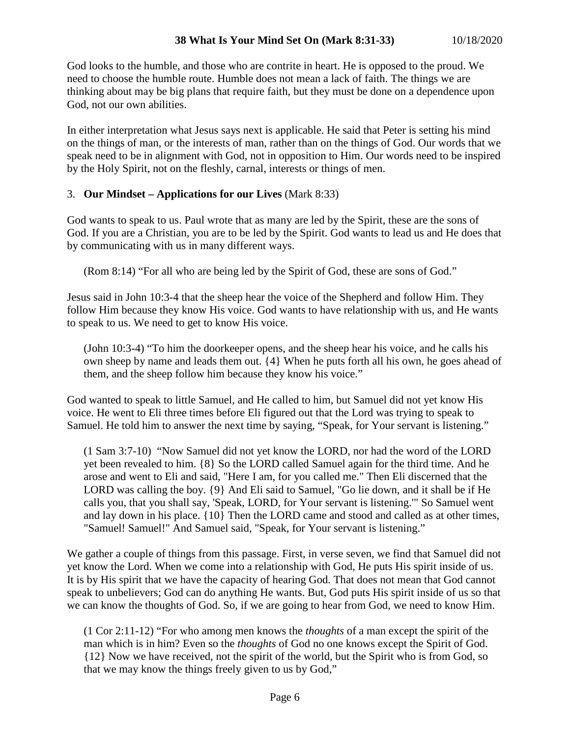God looks to the humble, and those who are contrite in heart. He is opposed to the proud. We need to choose the humble route. Humble does not mean a lack of faith. The things we are thinking about may be big plans that require faith, but they must be done on a dependence upon God, not our own abilities.

In either interpretation what Jesus says next is applicable. He said that Peter is setting his mind on the things of man, or the interests of man, rather than on the things of God. Our words that we speak need to be in alignment with God, not in opposition to Him. Our words need to be inspired by the Holy Spirit, not on the fleshly, carnal, interests or things of men.

# 3. **Our Mindset – Applications for our Lives** (Mark 8:33)

God wants to speak to us. Paul wrote that as many are led by the Spirit, these are the sons of God. If you are a Christian, you are to be led by the Spirit. God wants to lead us and He does that by communicating with us in many different ways.

(Rom 8:14) "For all who are being led by the Spirit of God, these are sons of God."

Jesus said in John 10:3-4 that the sheep hear the voice of the Shepherd and follow Him. They follow Him because they know His voice. God wants to have relationship with us, and He wants to speak to us. We need to get to know His voice.

(John 10:3-4) "To him the doorkeeper opens, and the sheep hear his voice, and he calls his own sheep by name and leads them out. {4} When he puts forth all his own, he goes ahead of them, and the sheep follow him because they know his voice."

God wanted to speak to little Samuel, and He called to him, but Samuel did not yet know His voice. He went to Eli three times before Eli figured out that the Lord was trying to speak to Samuel. He told him to answer the next time by saying, "Speak, for Your servant is listening."

(1 Sam 3:7-10) "Now Samuel did not yet know the LORD, nor had the word of the LORD yet been revealed to him. {8} So the LORD called Samuel again for the third time. And he arose and went to Eli and said, "Here I am, for you called me." Then Eli discerned that the LORD was calling the boy. {9} And Eli said to Samuel, "Go lie down, and it shall be if He calls you, that you shall say, 'Speak, LORD, for Your servant is listening.'" So Samuel went and lay down in his place. {10} Then the LORD came and stood and called as at other times, "Samuel! Samuel!" And Samuel said, "Speak, for Your servant is listening."

We gather a couple of things from this passage. First, in verse seven, we find that Samuel did not yet know the Lord. When we come into a relationship with God, He puts His spirit inside of us. It is by His spirit that we have the capacity of hearing God. That does not mean that God cannot speak to unbelievers; God can do anything He wants. But, God puts His spirit inside of us so that we can know the thoughts of God. So, if we are going to hear from God, we need to know Him.

(1 Cor 2:11-12) "For who among men knows the *thoughts* of a man except the spirit of the man which is in him? Even so the *thoughts* of God no one knows except the Spirit of God. {12} Now we have received, not the spirit of the world, but the Spirit who is from God, so that we may know the things freely given to us by God,"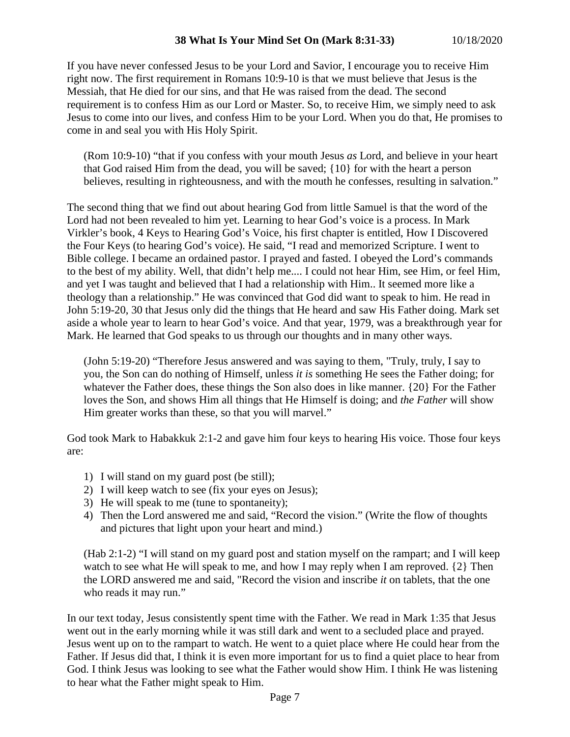If you have never confessed Jesus to be your Lord and Savior, I encourage you to receive Him right now. The first requirement in Romans 10:9-10 is that we must believe that Jesus is the Messiah, that He died for our sins, and that He was raised from the dead. The second requirement is to confess Him as our Lord or Master. So, to receive Him, we simply need to ask Jesus to come into our lives, and confess Him to be your Lord. When you do that, He promises to come in and seal you with His Holy Spirit.

(Rom 10:9-10) "that if you confess with your mouth Jesus *as* Lord, and believe in your heart that God raised Him from the dead, you will be saved; {10} for with the heart a person believes, resulting in righteousness, and with the mouth he confesses, resulting in salvation."

The second thing that we find out about hearing God from little Samuel is that the word of the Lord had not been revealed to him yet. Learning to hear God's voice is a process. In Mark Virkler's book, 4 Keys to Hearing God's Voice, his first chapter is entitled, How I Discovered the Four Keys (to hearing God's voice). He said, "I read and memorized Scripture. I went to Bible college. I became an ordained pastor. I prayed and fasted. I obeyed the Lord's commands to the best of my ability. Well, that didn't help me.... I could not hear Him, see Him, or feel Him, and yet I was taught and believed that I had a relationship with Him.. It seemed more like a theology than a relationship." He was convinced that God did want to speak to him. He read in John 5:19-20, 30 that Jesus only did the things that He heard and saw His Father doing. Mark set aside a whole year to learn to hear God's voice. And that year, 1979, was a breakthrough year for Mark. He learned that God speaks to us through our thoughts and in many other ways.

(John 5:19-20) "Therefore Jesus answered and was saying to them, "Truly, truly, I say to you, the Son can do nothing of Himself, unless *it is* something He sees the Father doing; for whatever the Father does, these things the Son also does in like manner. {20} For the Father loves the Son, and shows Him all things that He Himself is doing; and *the Father* will show Him greater works than these, so that you will marvel."

God took Mark to Habakkuk 2:1-2 and gave him four keys to hearing His voice. Those four keys are:

- 1) I will stand on my guard post (be still);
- 2) I will keep watch to see (fix your eyes on Jesus);
- 3) He will speak to me (tune to spontaneity);
- 4) Then the Lord answered me and said, "Record the vision." (Write the flow of thoughts and pictures that light upon your heart and mind.)

(Hab 2:1-2) "I will stand on my guard post and station myself on the rampart; and I will keep watch to see what He will speak to me, and how I may reply when I am reproved. {2} Then the LORD answered me and said, "Record the vision and inscribe *it* on tablets, that the one who reads it may run."

In our text today, Jesus consistently spent time with the Father. We read in Mark 1:35 that Jesus went out in the early morning while it was still dark and went to a secluded place and prayed. Jesus went up on to the rampart to watch. He went to a quiet place where He could hear from the Father. If Jesus did that, I think it is even more important for us to find a quiet place to hear from God. I think Jesus was looking to see what the Father would show Him. I think He was listening to hear what the Father might speak to Him.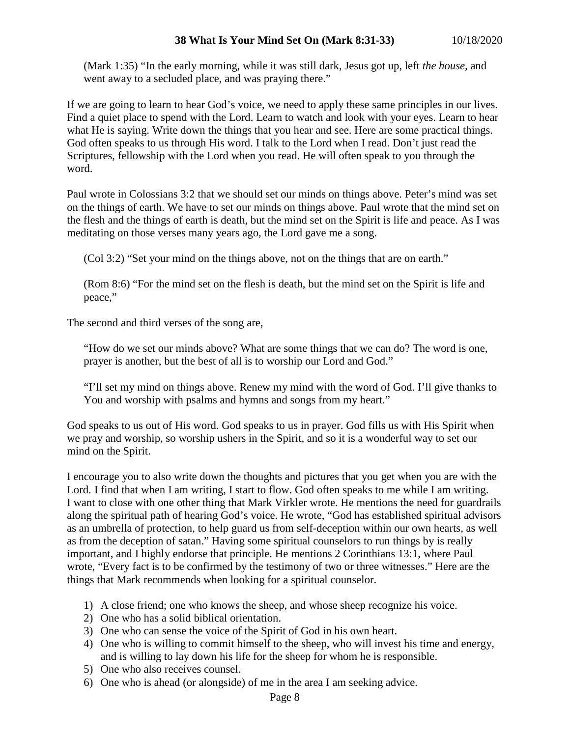(Mark 1:35) "In the early morning, while it was still dark, Jesus got up, left *the house,* and went away to a secluded place, and was praying there."

If we are going to learn to hear God's voice, we need to apply these same principles in our lives. Find a quiet place to spend with the Lord. Learn to watch and look with your eyes. Learn to hear what He is saying. Write down the things that you hear and see. Here are some practical things. God often speaks to us through His word. I talk to the Lord when I read. Don't just read the Scriptures, fellowship with the Lord when you read. He will often speak to you through the word.

Paul wrote in Colossians 3:2 that we should set our minds on things above. Peter's mind was set on the things of earth. We have to set our minds on things above. Paul wrote that the mind set on the flesh and the things of earth is death, but the mind set on the Spirit is life and peace. As I was meditating on those verses many years ago, the Lord gave me a song.

(Col 3:2) "Set your mind on the things above, not on the things that are on earth."

(Rom 8:6) "For the mind set on the flesh is death, but the mind set on the Spirit is life and peace,"

The second and third verses of the song are,

"How do we set our minds above? What are some things that we can do? The word is one, prayer is another, but the best of all is to worship our Lord and God."

"I'll set my mind on things above. Renew my mind with the word of God. I'll give thanks to You and worship with psalms and hymns and songs from my heart."

God speaks to us out of His word. God speaks to us in prayer. God fills us with His Spirit when we pray and worship, so worship ushers in the Spirit, and so it is a wonderful way to set our mind on the Spirit.

I encourage you to also write down the thoughts and pictures that you get when you are with the Lord. I find that when I am writing, I start to flow. God often speaks to me while I am writing. I want to close with one other thing that Mark Virkler wrote. He mentions the need for guardrails along the spiritual path of hearing God's voice. He wrote, "God has established spiritual advisors as an umbrella of protection, to help guard us from self-deception within our own hearts, as well as from the deception of satan." Having some spiritual counselors to run things by is really important, and I highly endorse that principle. He mentions 2 Corinthians 13:1, where Paul wrote, "Every fact is to be confirmed by the testimony of two or three witnesses." Here are the things that Mark recommends when looking for a spiritual counselor.

- 1) A close friend; one who knows the sheep, and whose sheep recognize his voice.
- 2) One who has a solid biblical orientation.
- 3) One who can sense the voice of the Spirit of God in his own heart.
- 4) One who is willing to commit himself to the sheep, who will invest his time and energy, and is willing to lay down his life for the sheep for whom he is responsible.
- 5) One who also receives counsel.
- 6) One who is ahead (or alongside) of me in the area I am seeking advice.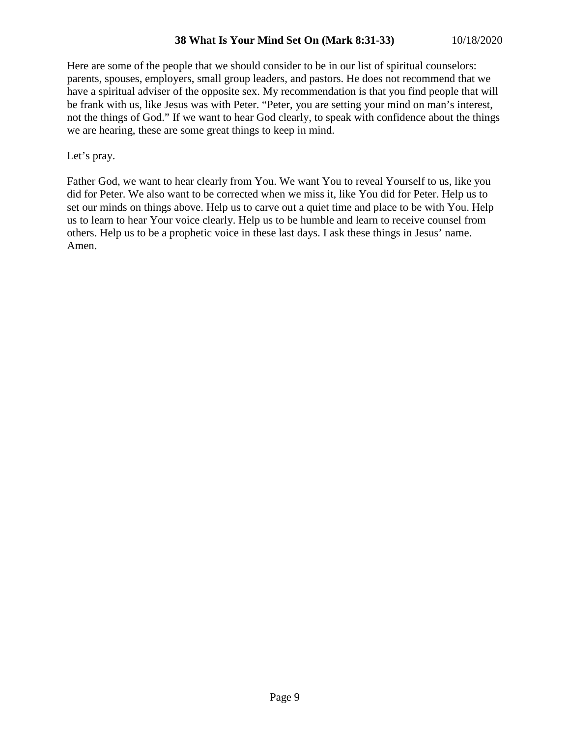## **38 What Is Your Mind Set On (Mark 8:31-33)** 10/18/2020

Here are some of the people that we should consider to be in our list of spiritual counselors: parents, spouses, employers, small group leaders, and pastors. He does not recommend that we have a spiritual adviser of the opposite sex. My recommendation is that you find people that will be frank with us, like Jesus was with Peter. "Peter, you are setting your mind on man's interest, not the things of God." If we want to hear God clearly, to speak with confidence about the things we are hearing, these are some great things to keep in mind.

Let's pray.

Father God, we want to hear clearly from You. We want You to reveal Yourself to us, like you did for Peter. We also want to be corrected when we miss it, like You did for Peter. Help us to set our minds on things above. Help us to carve out a quiet time and place to be with You. Help us to learn to hear Your voice clearly. Help us to be humble and learn to receive counsel from others. Help us to be a prophetic voice in these last days. I ask these things in Jesus' name. Amen.